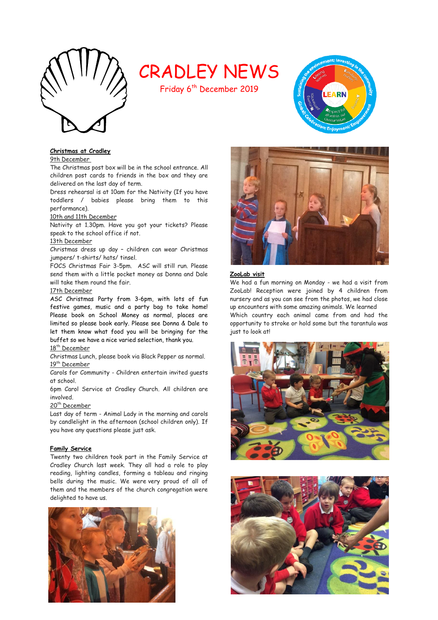

# CRADLEY NEWS

Friday 6<sup>th</sup> December 2019

# **Christmas at Cradley**

9th December

The Christmas post box will be in the school entrance. All children post cards to friends in the box and they are delivered on the last day of term.

Dress rehearsal is at 10am for the Nativity (If you have toddlers / babies please bring them to this performance).

#### 10th and 11th December

Nativity at 1.30pm. Have you got your tickets? Please speak to the school office if not.

#### 13th December

Christmas dress up day – children can wear Christmas jumpers/ t-shirts/ hats/ tinsel.

FOCS Christmas Fair 3-5pm. ASC will still run. Please send them with a little pocket money as Donna and Dale will take them round the fair.

#### 17th December

ASC Christmas Party from 3-6pm, with lots of fun festive games, music and a party bag to take home! Please book on School Money as normal, places are limited so please book early. Please see Donna & Dale to let them know what food you will be bringing for the buffet so we have a nice varied selection, thank you. 18<sup>th</sup> December

Christmas Lunch, please book via Black Pepper as normal. 19<sup>th</sup> December

Carols for Community - Children entertain invited guests at school.

6pm Carol Service at Cradley Church. All children are involved.

# 20<sup>th</sup> December

Last day of term - Animal Lady in the morning and carols by candlelight in the afternoon (school children only). If you have any questions please just ask.

#### **Family Service**

Twenty two children took part in the Family Service at Cradley Church last week. They all had a role to play reading, lighting candles, forming a tableau and ringing bells during the music. We were very proud of all of them and the members of the church congregation were delighted to have us.





EARN

#### **ZooLab visit**

We had a fun morning on Monday - we had a visit from ZooLab! Reception were joined by 4 children from nursery and as you can see from the photos, we had close up encounters with some amazing animals. We learned Which country each animal came from and had the opportunity to stroke or hold some but the tarantula was



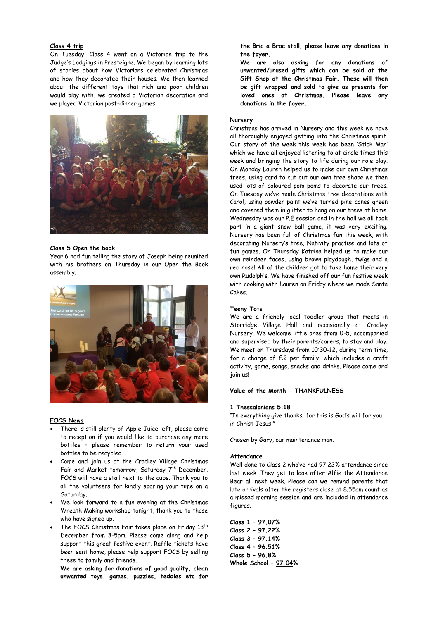# **Class 4 trip**

On Tuesday, Class 4 went on a Victorian trip to the Judge's Lodgings in Presteigne. We began by learning lots of stories about how Victorians celebrated Christmas and how they decorated their houses. We then learned about the different toys that rich and poor children would play with, we created a Victorian decoration and we played Victorian post-dinner games.



#### **Class 5 Open the book**

Year 6 had fun telling the story of Joseph being reunited with his brothers on Thursday in our Open the Book assembly.



#### **FOCS News**

- There is still plenty of Apple Juice left, please come to reception if you would like to purchase any more bottles – please remember to return your used bottles to be recycled.
- Come and join us at the Cradley Village Christmas Fair and Market tomorrow, Saturday 7<sup>th</sup> December. FOCS will have a stall next to the cubs. Thank you to all the volunteers for kindly sparing your time on a Saturday.
- We look forward to a fun evening at the Christmas Wreath Making workshop tonight, thank you to those who have signed up.
- The FOCS Christmas Fair takes place on Friday  $13<sup>th</sup>$ December from 3-5pm. Please come along and help support this great festive event. Raffle tickets have been sent home, please help support FOCS by selling these to family and friends.

**We are asking for donations of good quality, clean unwanted toys, games, puzzles, teddies etc for** 

**the Bric a Brac stall, please leave any donations in the foyer.** 

**We are also asking for any donations of unwanted/unused gifts which can be sold at the Gift Shop at the Christmas Fair. These will then be gift wrapped and sold to give as presents for loved ones at Christmas. Please leave any donations in the foyer.** 

#### **Nursery**

Christmas has arrived in Nursery and this week we have all thoroughly enjoyed getting into the Christmas spirit. Our story of the week this week has been 'Stick Man' which we have all enjoyed listening to at circle times this week and bringing the story to life during our role play. On Monday Lauren helped us to make our own Christmas trees, using card to cut out our own tree shape we then used lots of coloured pom poms to decorate our trees. On Tuesday we've made Christmas tree decorations with Carol, using powder paint we've turned pine cones green and covered them in glitter to hang on our trees at home. Wednesday was our P.E session and in the hall we all took part in a giant snow ball game, it was very exciting. Nursery has been full of Christmas fun this week, with decorating Nursery's tree, Nativity practise and lots of fun games. On Thursday Katrina helped us to make our own reindeer faces, using brown playdough, twigs and a red nose! All of the children got to take home their very own Rudolph's. We have finished off our fun festive week with cooking with Lauren on Friday where we made Santa Cakes.

#### **Teeny Tots**

We are a friendly local toddler group that meets in Storridge Village Hall and occasionally at Cradley Nursery. We welcome little ones from 0-5, accompanied and supervised by their parents/carers, to stay and play. We meet on Thursdays from 10:30-12, during term time, for a charge of £2 per family, which includes a craft activity, game, songs, snacks and drinks. Please come and join us!

## **Value of the Month - THANKFULNESS**

#### **1 Thessalonians 5:18**

"In everything give thanks; for this is God's will for you in Christ Jesus."

Chosen by Gary, our maintenance man.

#### **Attendance**

Well done to Class 2 who've had 97.22% attendance since last week. They get to look after Alfie the Attendance Bear all next week. Please can we remind parents that late arrivals after the registers close at 8.55am count as a missed morning session and are included in attendance figures.

**Class 1 – 97.07% Class 2 – 97.22% Class 3 – 97.14% Class 4 – 96.51% Class 5 – 96.8% Whole School – 97.04%**